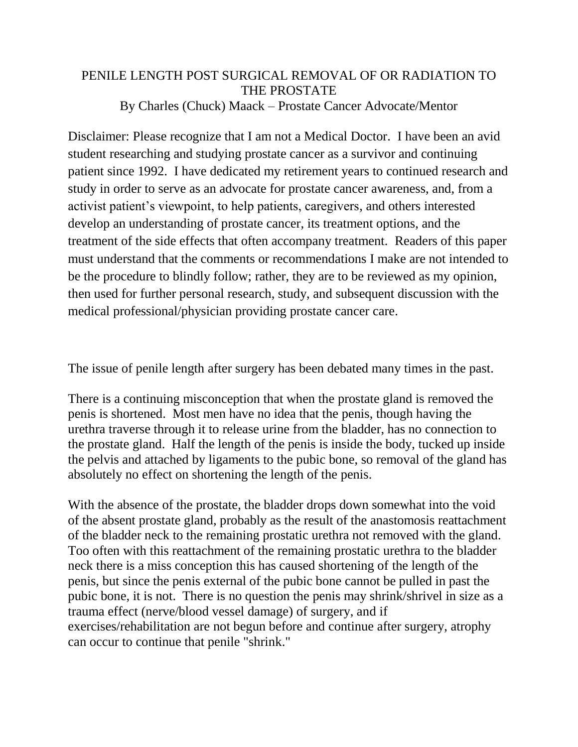# PENILE LENGTH POST SURGICAL REMOVAL OF OR RADIATION TO THE PROSTATE By Charles (Chuck) Maack – Prostate Cancer Advocate/Mentor

Disclaimer: Please recognize that I am not a Medical Doctor. I have been an avid student researching and studying prostate cancer as a survivor and continuing patient since 1992. I have dedicated my retirement years to continued research and study in order to serve as an advocate for prostate cancer awareness, and, from a activist patient's viewpoint, to help patients, caregivers, and others interested develop an understanding of prostate cancer, its treatment options, and the treatment of the side effects that often accompany treatment. Readers of this paper must understand that the comments or recommendations I make are not intended to be the procedure to blindly follow; rather, they are to be reviewed as my opinion, then used for further personal research, study, and subsequent discussion with the medical professional/physician providing prostate cancer care.

The issue of penile length after surgery has been debated many times in the past.

There is a continuing misconception that when the prostate gland is removed the penis is shortened. Most men have no idea that the penis, though having the urethra traverse through it to release urine from the bladder, has no connection to the prostate gland. Half the length of the penis is inside the body, tucked up inside the pelvis and attached by ligaments to the pubic bone, so removal of the gland has absolutely no effect on shortening the length of the penis.

With the absence of the prostate, the bladder drops down somewhat into the void of the absent prostate gland, probably as the result of the anastomosis reattachment of the bladder neck to the remaining prostatic urethra not removed with the gland. Too often with this reattachment of the remaining prostatic urethra to the bladder neck there is a miss conception this has caused shortening of the length of the penis, but since the penis external of the pubic bone cannot be pulled in past the pubic bone, it is not. There is no question the penis may shrink/shrivel in size as a trauma effect (nerve/blood vessel damage) of surgery, and if exercises/rehabilitation are not begun before and continue after surgery, atrophy can occur to continue that penile "shrink."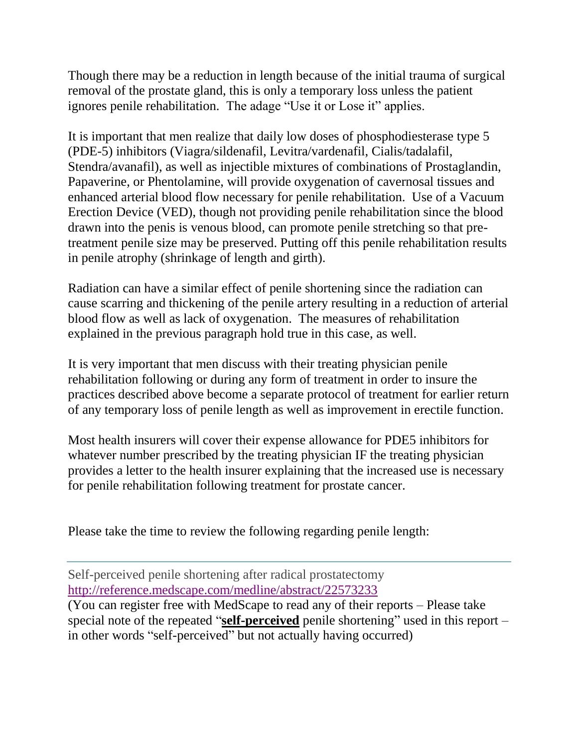Though there may be a reduction in length because of the initial trauma of surgical removal of the prostate gland, this is only a temporary loss unless the patient ignores penile rehabilitation. The adage "Use it or Lose it" applies.

It is important that men realize that daily low doses of phosphodiesterase type 5 (PDE-5) inhibitors (Viagra/sildenafil, Levitra/vardenafil, Cialis/tadalafil, Stendra/avanafil), as well as injectible mixtures of combinations of Prostaglandin, Papaverine, or Phentolamine, will provide oxygenation of cavernosal tissues and enhanced arterial blood flow necessary for penile rehabilitation. Use of a Vacuum Erection Device (VED), though not providing penile rehabilitation since the blood drawn into the penis is venous blood, can promote penile stretching so that pretreatment penile size may be preserved. Putting off this penile rehabilitation results in penile atrophy (shrinkage of length and girth).

Radiation can have a similar effect of penile shortening since the radiation can cause scarring and thickening of the penile artery resulting in a reduction of arterial blood flow as well as lack of oxygenation. The measures of rehabilitation explained in the previous paragraph hold true in this case, as well.

It is very important that men discuss with their treating physician penile rehabilitation following or during any form of treatment in order to insure the practices described above become a separate protocol of treatment for earlier return of any temporary loss of penile length as well as improvement in erectile function.

Most health insurers will cover their expense allowance for PDE5 inhibitors for whatever number prescribed by the treating physician IF the treating physician provides a letter to the health insurer explaining that the increased use is necessary for penile rehabilitation following treatment for prostate cancer.

Please take the time to review the following regarding penile length:

Self-perceived penile shortening after radical prostatectomy <http://reference.medscape.com/medline/abstract/22573233>

(You can register free with MedScape to read any of their reports – Please take special note of the repeated "**self-perceived** penile shortening" used in this report – in other words "self-perceived" but not actually having occurred)